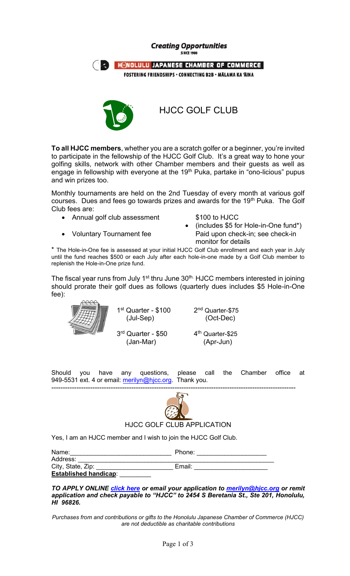#### **Creating Opportunities SINCE 1900**

**THE HONOLULU JAPANESE CHAMBER OF COMMERCE** 

FOSTERING FRIENDSHIPS . CONNECTING B2B . MALAMA KA 'AINA



HJCC GOLF CLUB

**To all HJCC members**, whether you are a scratch golfer or a beginner, you're invited to participate in the fellowship of the HJCC Golf Club. It's a great way to hone your golfing skills, network with other Chamber members and their guests as well as engage in fellowship with everyone at the  $19<sup>th</sup>$  Puka, partake in "ono-licious" pupus and win prizes too.

Monthly tournaments are held on the 2nd Tuesday of every month at various golf courses. Dues and fees go towards prizes and awards for the 19<sup>th</sup> Puka. The Golf Club fees are:

- Annual golf club assessment \$100 to HJCC
- 
- 
- (includes \$5 for Hole-in-One fund\*) • Voluntary Tournament fee Paid upon check-in; see check-in monitor for details

\* The Hole-in-One fee is assessed at your initial HJCC Golf Club enrollment and each year in July until the fund reaches \$500 or each July after each hole-in-one made by a Golf Club member to replenish the Hole-in-One prize fund.

The fiscal year runs from July  $1<sup>st</sup>$  thru June  $30<sup>th</sup>$ . HJCC members interested in joining should prorate their golf dues as follows (quarterly dues includes \$5 Hole-in-One fee):



1 st Quarter - \$100 (Jul-Sep)

2<sup>nd</sup> Quarter-\$75 (Oct-Dec)

3 rd Quarter - \$50 (Jan-Mar)

4<sup>th</sup> Quarter-\$25 (Apr-Jun)

Should you have any questions, please call the Chamber office at 949-5531 ext. 4 or email: merilyn@hicc.org. Thank you.



HJCC GOLF CLUB APPLICATION

Yes, I am an HJCC member and I wish to join the HJCC Golf Club.

| Name:                        | Phone: |  |
|------------------------------|--------|--|
| Address:                     |        |  |
| City, State, Zip:            | Email: |  |
| <b>Established handicap:</b> |        |  |

*TO APPLY ONLINE [click here](https://hjcc.memberclicks.net/golfclubmembership2020-2021) or email your application to [merilyn@hjcc.org](mailto:merilyn@hjcc.org) or remit application and check payable to "HJCC" to 2454 S Beretania St., Ste 201, Honolulu, HI 96826.* 

*Purchases from and contributions or gifts to the Honolulu Japanese Chamber of Commerce (HJCC) are not deductible as charitable contributions*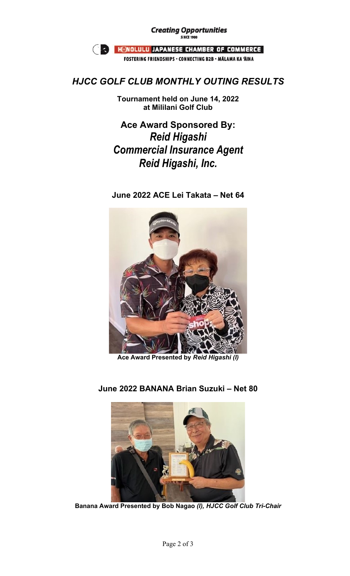**Creating Opportunities SINCE 1900 EXAMPLE THE SECOND SET OF COMMERCE** FOSTERING FRIENDSHIPS . CONNECTING B2B . MÄLAMA KA 'ÄINA

## *HJCC GOLF CLUB MONTHLY OUTING RESULTS*

**Tournament held on June 14, 2022 at Mililani Golf Club**

# **Ace Award Sponsored By:** *Reid Higashi Commercial Insurance Agent Reid Higashi, Inc.*



**June 2022 ACE Lei Takata – Net 64**

**Ace Award Presented by** *Reid Higashi (l)*



**June 2022 BANANA Brian Suzuki – Net 80**

**Banana Award Presented by Bob Nagao** *(l), HJCC Golf Club Tri-Chair*